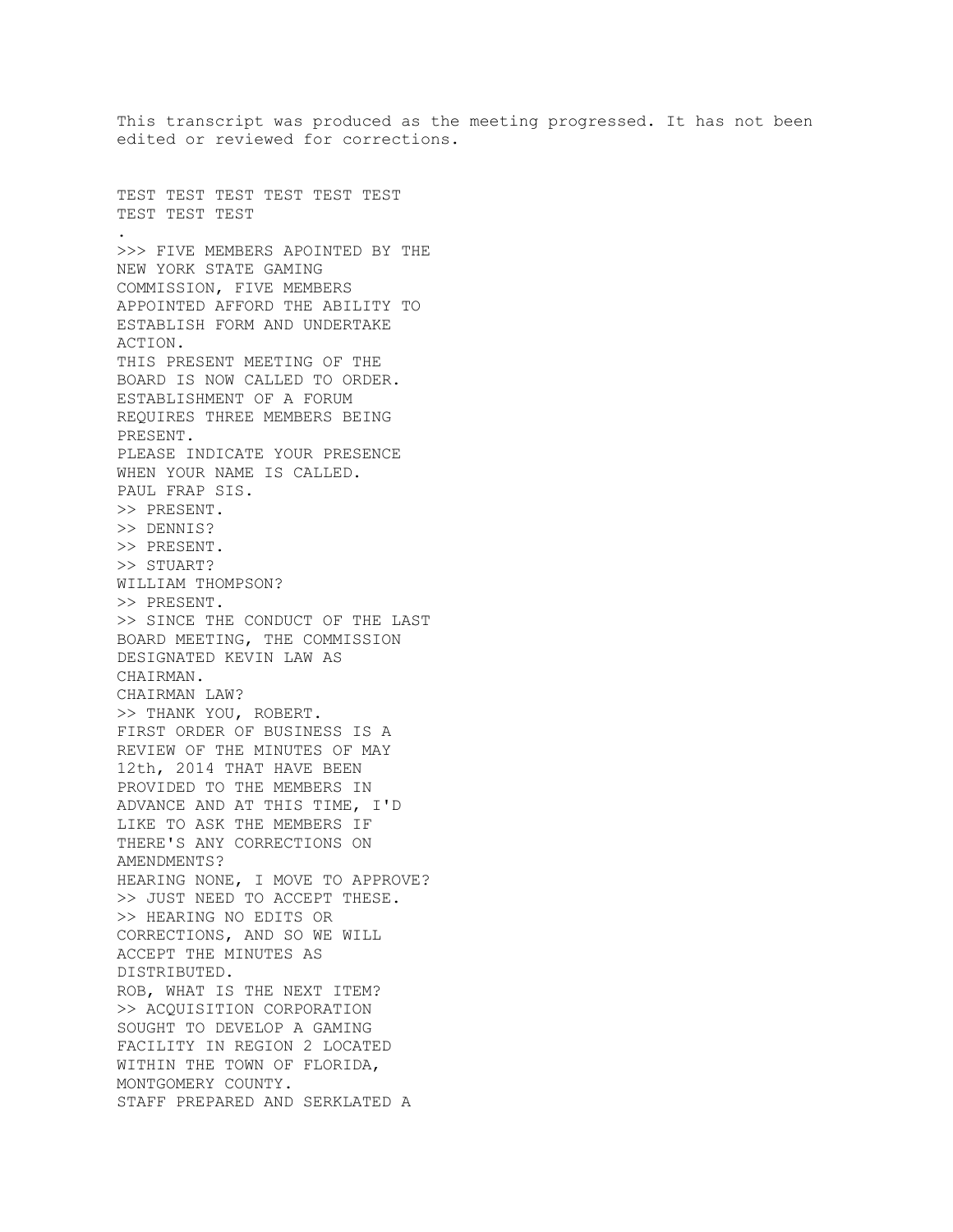This transcript was produced as the meeting progressed. It has not been edited or reviewed for corrections. TEST TEST TEST TEST TEST TEST TEST TEST TEST . >>> FIVE MEMBERS APOINTED BY THE NEW YORK STATE GAMING COMMISSION, FIVE MEMBERS APPOINTED AFFORD THE ABILITY TO ESTABLISH FORM AND UNDERTAKE ACTION. THIS PRESENT MEETING OF THE BOARD IS NOW CALLED TO ORDER. ESTABLISHMENT OF A FORUM REQUIRES THREE MEMBERS BEING PRESENT. PLEASE INDICATE YOUR PRESENCE WHEN YOUR NAME IS CALLED. PAUL FRAP SIS. >> PRESENT. >> DENNIS? >> PRESENT. >> STUART? WILLIAM THOMPSON? >> PRESENT. >> SINCE THE CONDUCT OF THE LAST BOARD MEETING, THE COMMISSION DESIGNATED KEVIN LAW AS CHAIRMAN. CHAIRMAN LAW? >> THANK YOU, ROBERT. FIRST ORDER OF BUSINESS IS A REVIEW OF THE MINUTES OF MAY 12th, 2014 THAT HAVE BEEN PROVIDED TO THE MEMBERS IN ADVANCE AND AT THIS TIME, I'D LIKE TO ASK THE MEMBERS IF THERE'S ANY CORRECTIONS ON AMENDMENTS? HEARING NONE, I MOVE TO APPROVE? >> JUST NEED TO ACCEPT THESE. >> HEARING NO EDITS OR CORRECTIONS, AND SO WE WILL ACCEPT THE MINUTES AS DISTRIBUTED. ROB, WHAT IS THE NEXT ITEM? >> ACQUISITION CORPORATION SOUGHT TO DEVELOP A GAMING FACILITY IN REGION 2 LOCATED WITHIN THE TOWN OF FLORIDA, MONTGOMERY COUNTY. STAFF PREPARED AND SERKLATED A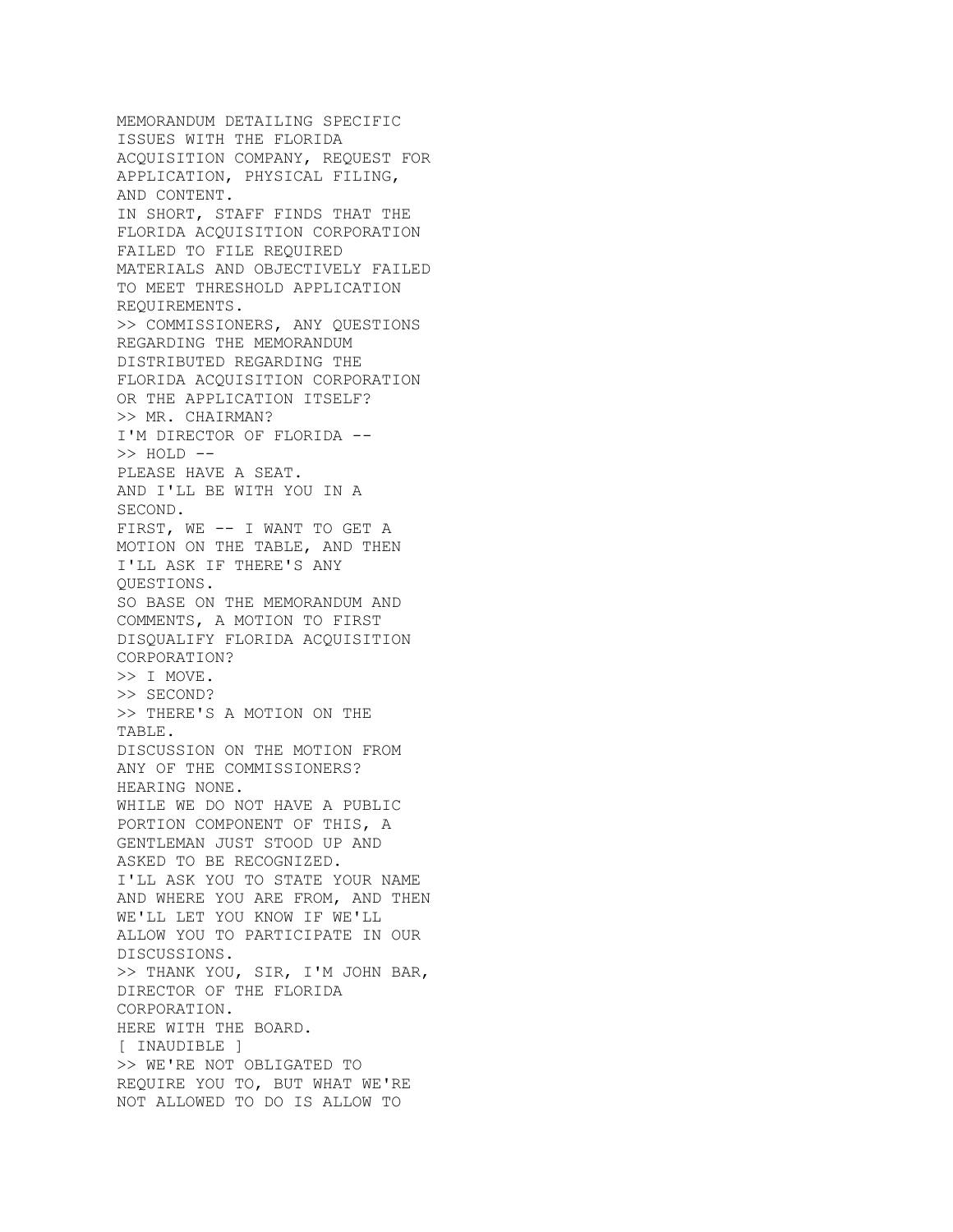MEMORANDUM DETAILING SPECIFIC ISSUES WITH THE FLORIDA ACQUISITION COMPANY, REQUEST FOR APPLICATION, PHYSICAL FILING, AND CONTENT. IN SHORT, STAFF FINDS THAT THE FLORIDA ACQUISITION CORPORATION FAILED TO FILE REQUIRED MATERIALS AND OBJECTIVELY FAILED TO MEET THRESHOLD APPLICATION REQUIREMENTS. >> COMMISSIONERS, ANY QUESTIONS REGARDING THE MEMORANDUM DISTRIBUTED REGARDING THE FLORIDA ACQUISITION CORPORATION OR THE APPLICATION ITSELF? >> MR. CHAIRMAN? I'M DIRECTOR OF FLORIDA -- >> HOLD -- PLEASE HAVE A SEAT. AND I'LL BE WITH YOU IN A SECOND. FIRST, WE -- I WANT TO GET A MOTION ON THE TABLE, AND THEN I'LL ASK IF THERE'S ANY QUESTIONS. SO BASE ON THE MEMORANDUM AND COMMENTS, A MOTION TO FIRST DISQUALIFY FLORIDA ACQUISITION CORPORATION? >> I MOVE. >> SECOND? >> THERE'S A MOTION ON THE TABLE. DISCUSSION ON THE MOTION FROM ANY OF THE COMMISSIONERS? HEARING NONE. WHILE WE DO NOT HAVE A PUBLIC PORTION COMPONENT OF THIS, A GENTLEMAN JUST STOOD UP AND ASKED TO BE RECOGNIZED. I'LL ASK YOU TO STATE YOUR NAME AND WHERE YOU ARE FROM, AND THEN WE'LL LET YOU KNOW IF WE'LL ALLOW YOU TO PARTICIPATE IN OUR DISCUSSIONS. >> THANK YOU, SIR, I'M JOHN BAR, DIRECTOR OF THE FLORIDA CORPORATION. HERE WITH THE BOARD. [ INAUDIBLE ] >> WE'RE NOT OBLIGATED TO REQUIRE YOU TO, BUT WHAT WE'RE NOT ALLOWED TO DO IS ALLOW TO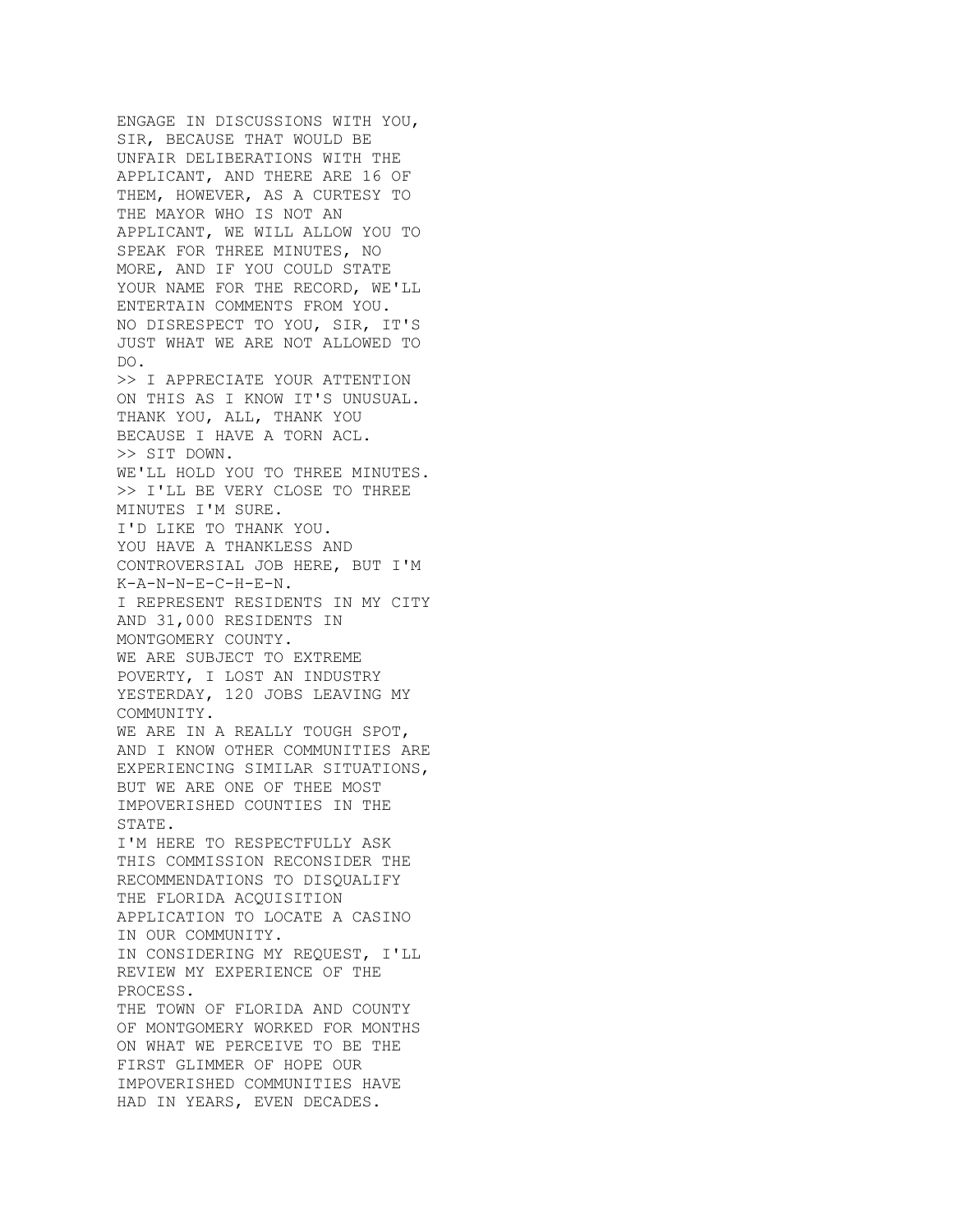ENGAGE IN DISCUSSIONS WITH YOU, SIR, BECAUSE THAT WOULD BE UNFAIR DELIBERATIONS WITH THE APPLICANT, AND THERE ARE 16 OF THEM, HOWEVER, AS A CURTESY TO THE MAYOR WHO IS NOT AN APPLICANT, WE WILL ALLOW YOU TO SPEAK FOR THREE MINUTES, NO MORE, AND IF YOU COULD STATE YOUR NAME FOR THE RECORD, WE'LL ENTERTAIN COMMENTS FROM YOU. NO DISRESPECT TO YOU, SIR, IT'S JUST WHAT WE ARE NOT ALLOWED TO DO. >> I APPRECIATE YOUR ATTENTION ON THIS AS I KNOW IT'S UNUSUAL. THANK YOU, ALL, THANK YOU BECAUSE I HAVE A TORN ACL. >> SIT DOWN. WE'LL HOLD YOU TO THREE MINUTES. >> I'LL BE VERY CLOSE TO THREE MINUTES I'M SURE. I'D LIKE TO THANK YOU. YOU HAVE A THANKLESS AND CONTROVERSIAL JOB HERE, BUT I'M K-A-N-N-E-C-H-E-N. I REPRESENT RESIDENTS IN MY CITY AND 31,000 RESIDENTS IN MONTGOMERY COUNTY. WE ARE SUBJECT TO EXTREME POVERTY, I LOST AN INDUSTRY YESTERDAY, 120 JOBS LEAVING MY COMMUNITY. WE ARE IN A REALLY TOUGH SPOT, AND I KNOW OTHER COMMUNITIES ARE EXPERIENCING SIMILAR SITUATIONS, BUT WE ARE ONE OF THEE MOST IMPOVERISHED COUNTIES IN THE STATE. I'M HERE TO RESPECTFULLY ASK THIS COMMISSION RECONSIDER THE RECOMMENDATIONS TO DISQUALIFY THE FLORIDA ACQUISITION APPLICATION TO LOCATE A CASINO IN OUR COMMUNITY. IN CONSIDERING MY REQUEST, I'LL REVIEW MY EXPERIENCE OF THE PROCESS. THE TOWN OF FLORIDA AND COUNTY OF MONTGOMERY WORKED FOR MONTHS ON WHAT WE PERCEIVE TO BE THE FIRST GLIMMER OF HOPE OUR IMPOVERISHED COMMUNITIES HAVE HAD IN YEARS, EVEN DECADES.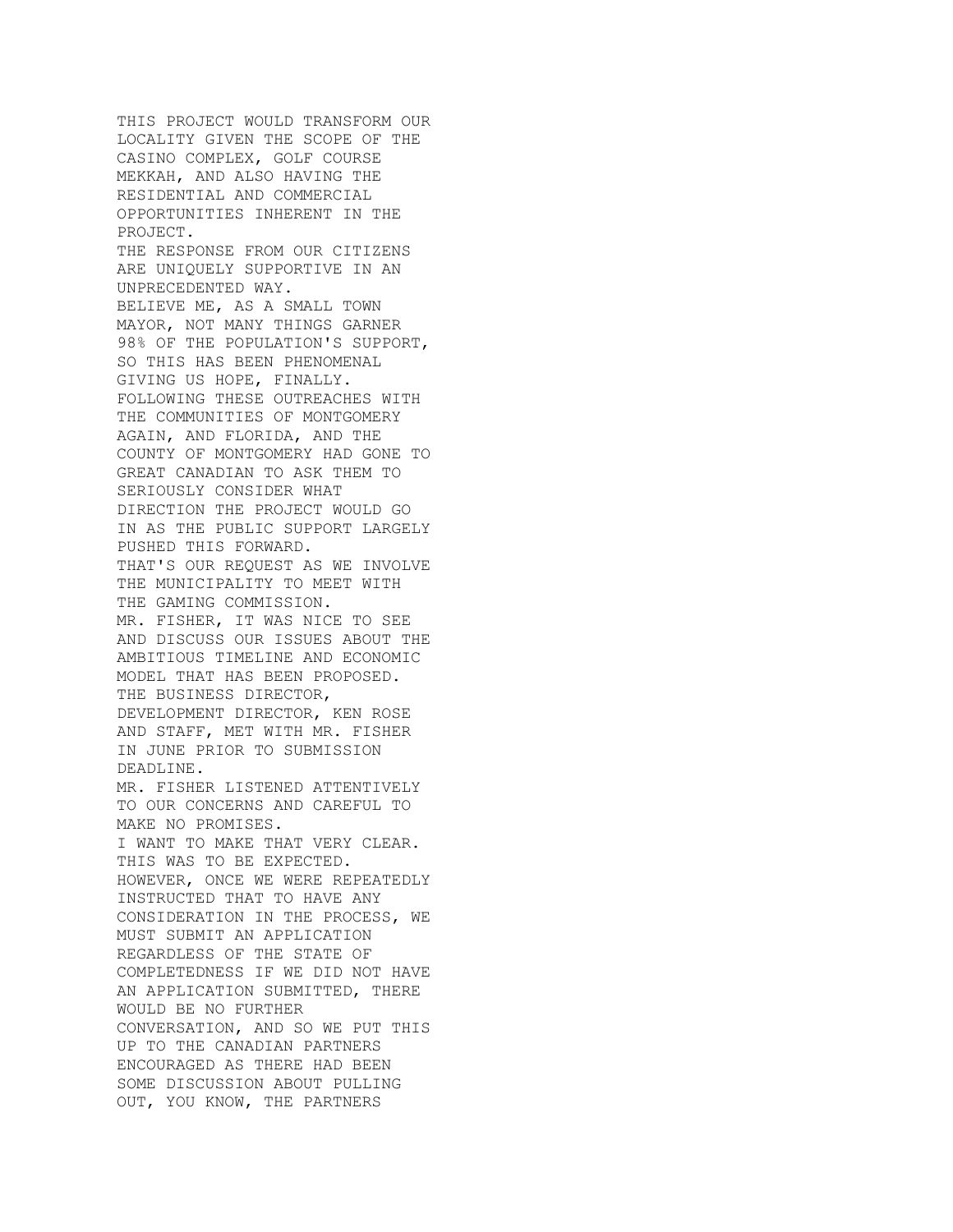THIS PROJECT WOULD TRANSFORM OUR LOCALITY GIVEN THE SCOPE OF THE CASINO COMPLEX, GOLF COURSE MEKKAH, AND ALSO HAVING THE RESIDENTIAL AND COMMERCIAL OPPORTUNITIES INHERENT IN THE PROJECT. THE RESPONSE FROM OUR CITIZENS ARE UNIQUELY SUPPORTIVE IN AN UNPRECEDENTED WAY. BELIEVE ME, AS A SMALL TOWN MAYOR, NOT MANY THINGS GARNER 98% OF THE POPULATION'S SUPPORT, SO THIS HAS BEEN PHENOMENAL GIVING US HOPE, FINALLY. FOLLOWING THESE OUTREACHES WITH THE COMMUNITIES OF MONTGOMERY AGAIN, AND FLORIDA, AND THE COUNTY OF MONTGOMERY HAD GONE TO GREAT CANADIAN TO ASK THEM TO SERIOUSLY CONSIDER WHAT DIRECTION THE PROJECT WOULD GO IN AS THE PUBLIC SUPPORT LARGELY PUSHED THIS FORWARD. THAT'S OUR REQUEST AS WE INVOLVE THE MUNICIPALITY TO MEET WITH THE GAMING COMMISSION. MR. FISHER, IT WAS NICE TO SEE AND DISCUSS OUR ISSUES ABOUT THE AMBITIOUS TIMELINE AND ECONOMIC MODEL THAT HAS BEEN PROPOSED. THE BUSINESS DIRECTOR, DEVELOPMENT DIRECTOR, KEN ROSE AND STAFF, MET WITH MR. FISHER IN JUNE PRIOR TO SUBMISSION DEADLINE. MR. FISHER LISTENED ATTENTIVELY TO OUR CONCERNS AND CAREFUL TO MAKE NO PROMISES. I WANT TO MAKE THAT VERY CLEAR. THIS WAS TO BE EXPECTED. HOWEVER, ONCE WE WERE REPEATEDLY INSTRUCTED THAT TO HAVE ANY CONSIDERATION IN THE PROCESS, WE MUST SUBMIT AN APPLICATION REGARDLESS OF THE STATE OF COMPLETEDNESS IF WE DID NOT HAVE AN APPLICATION SUBMITTED, THERE WOULD BE NO FURTHER CONVERSATION, AND SO WE PUT THIS UP TO THE CANADIAN PARTNERS ENCOURAGED AS THERE HAD BEEN SOME DISCUSSION ABOUT PULLING OUT, YOU KNOW, THE PARTNERS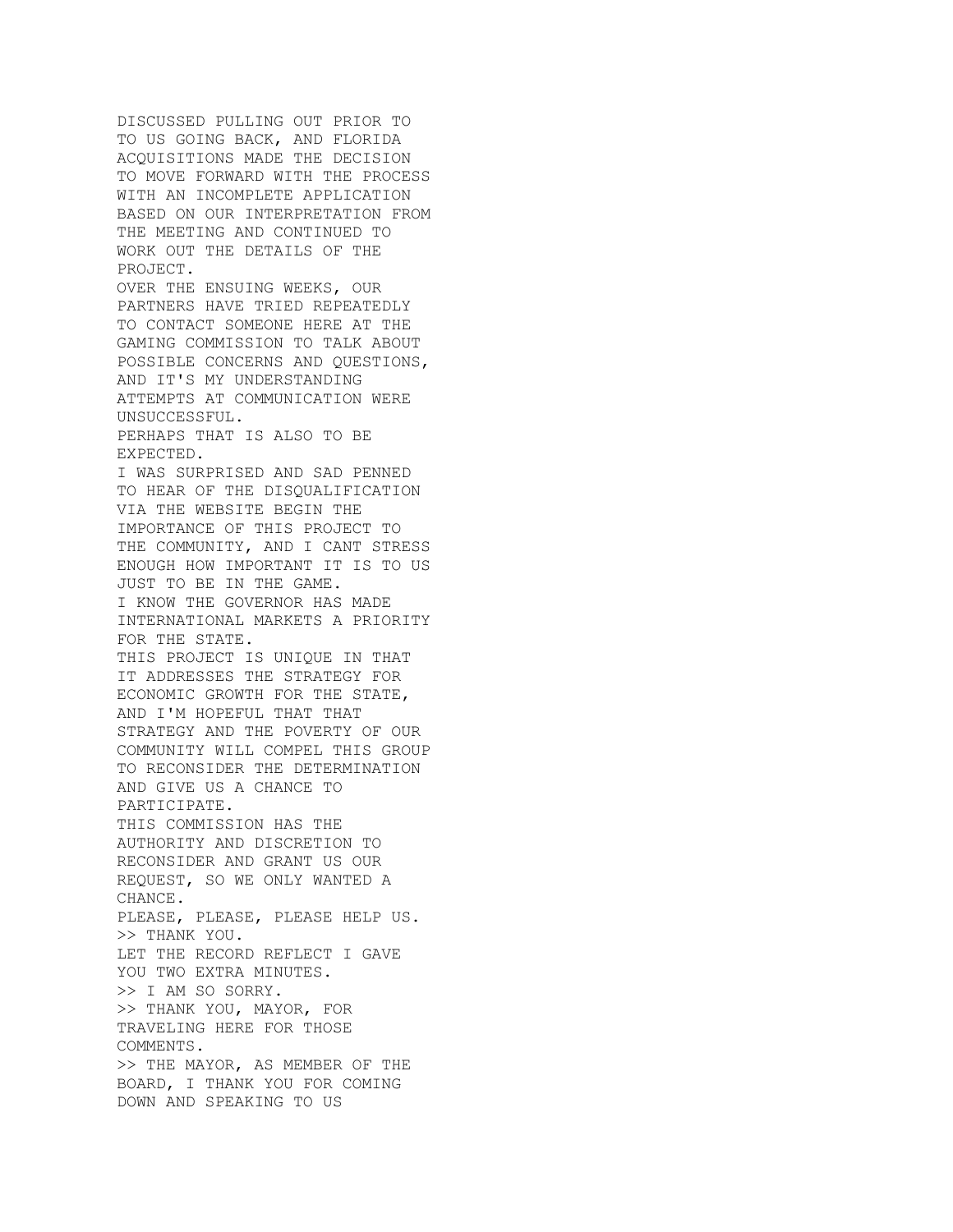DISCUSSED PULLING OUT PRIOR TO TO US GOING BACK, AND FLORIDA ACQUISITIONS MADE THE DECISION TO MOVE FORWARD WITH THE PROCESS WITH AN INCOMPLETE APPLICATION BASED ON OUR INTERPRETATION FROM THE MEETING AND CONTINUED TO WORK OUT THE DETAILS OF THE PROJECT. OVER THE ENSUING WEEKS, OUR PARTNERS HAVE TRIED REPEATEDLY TO CONTACT SOMEONE HERE AT THE GAMING COMMISSION TO TALK ABOUT POSSIBLE CONCERNS AND QUESTIONS, AND IT'S MY UNDERSTANDING ATTEMPTS AT COMMUNICATION WERE UNSUCCESSFUL. PERHAPS THAT IS ALSO TO BE EXPECTED. I WAS SURPRISED AND SAD PENNED TO HEAR OF THE DISQUALIFICATION VIA THE WEBSITE BEGIN THE IMPORTANCE OF THIS PROJECT TO THE COMMUNITY, AND I CANT STRESS ENOUGH HOW IMPORTANT IT IS TO US JUST TO BE IN THE GAME. I KNOW THE GOVERNOR HAS MADE INTERNATIONAL MARKETS A PRIORITY FOR THE STATE. THIS PROJECT IS UNIQUE IN THAT IT ADDRESSES THE STRATEGY FOR ECONOMIC GROWTH FOR THE STATE, AND I'M HOPEFUL THAT THAT STRATEGY AND THE POVERTY OF OUR COMMUNITY WILL COMPEL THIS GROUP TO RECONSIDER THE DETERMINATION AND GIVE US A CHANCE TO PARTICIPATE. THIS COMMISSION HAS THE AUTHORITY AND DISCRETION TO RECONSIDER AND GRANT US OUR REQUEST, SO WE ONLY WANTED A CHANCE. PLEASE, PLEASE, PLEASE HELP US. >> THANK YOU. LET THE RECORD REFLECT I GAVE YOU TWO EXTRA MINUTES. >> I AM SO SORRY. >> THANK YOU, MAYOR, FOR TRAVELING HERE FOR THOSE COMMENTS. >> THE MAYOR, AS MEMBER OF THE BOARD, I THANK YOU FOR COMING DOWN AND SPEAKING TO US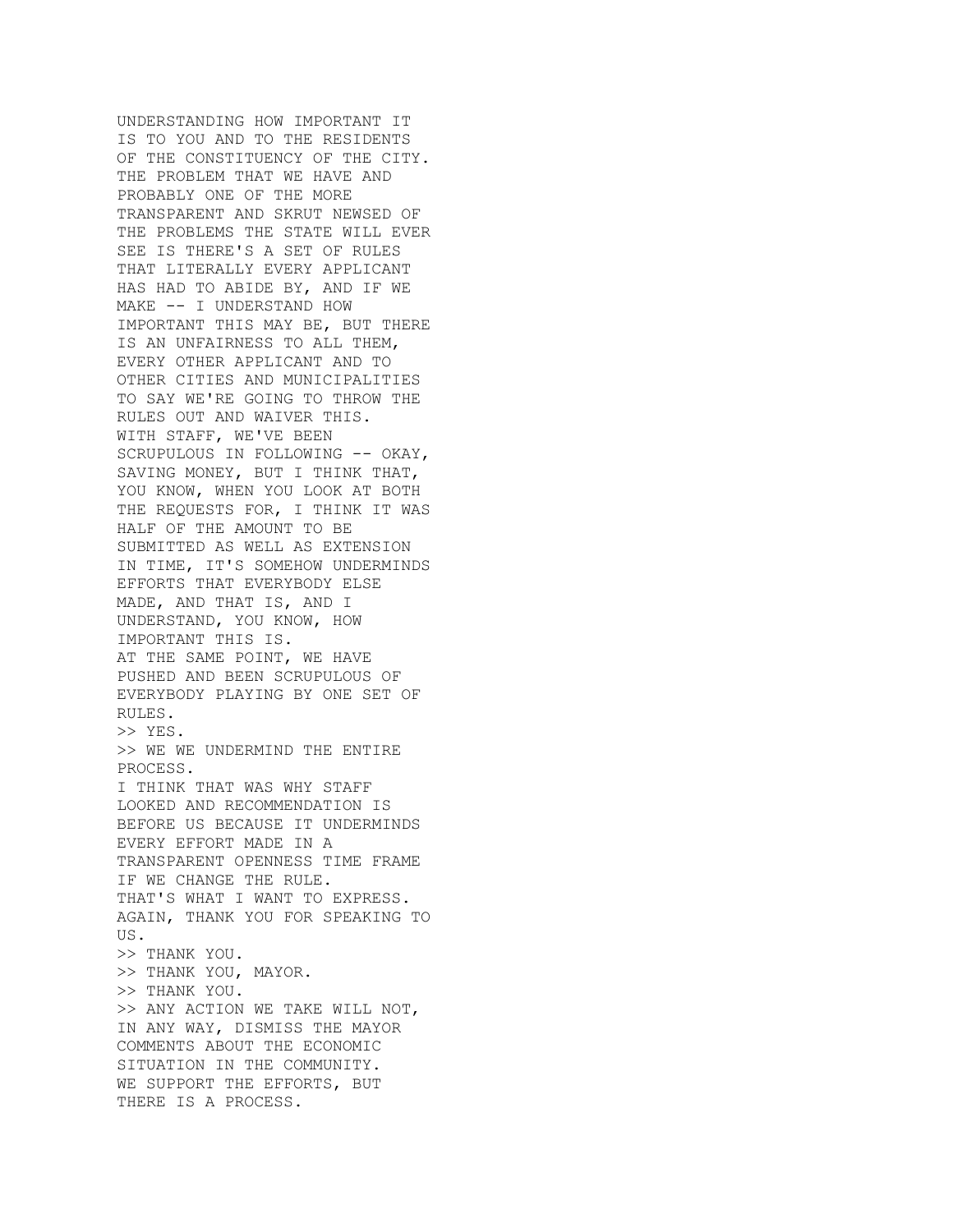UNDERSTANDING HOW IMPORTANT IT IS TO YOU AND TO THE RESIDENTS OF THE CONSTITUENCY OF THE CITY. THE PROBLEM THAT WE HAVE AND PROBABLY ONE OF THE MORE TRANSPARENT AND SKRUT NEWSED OF THE PROBLEMS THE STATE WILL EVER SEE IS THERE'S A SET OF RULES THAT LITERALLY EVERY APPLICANT HAS HAD TO ABIDE BY, AND IF WE MAKE -- I UNDERSTAND HOW IMPORTANT THIS MAY BE, BUT THERE IS AN UNFAIRNESS TO ALL THEM, EVERY OTHER APPLICANT AND TO OTHER CITIES AND MUNICIPALITIES TO SAY WE'RE GOING TO THROW THE RULES OUT AND WAIVER THIS. WITH STAFF, WE'VE BEEN SCRUPULOUS IN FOLLOWING -- OKAY, SAVING MONEY, BUT I THINK THAT, YOU KNOW, WHEN YOU LOOK AT BOTH THE REQUESTS FOR, I THINK IT WAS HALF OF THE AMOUNT TO BE SUBMITTED AS WELL AS EXTENSION IN TIME, IT'S SOMEHOW UNDERMINDS EFFORTS THAT EVERYBODY ELSE MADE, AND THAT IS, AND I UNDERSTAND, YOU KNOW, HOW IMPORTANT THIS IS. AT THE SAME POINT, WE HAVE PUSHED AND BEEN SCRUPULOUS OF EVERYBODY PLAYING BY ONE SET OF RULES. >> YES. >> WE WE UNDERMIND THE ENTIRE PROCESS. I THINK THAT WAS WHY STAFF LOOKED AND RECOMMENDATION IS BEFORE US BECAUSE IT UNDERMINDS EVERY EFFORT MADE IN A TRANSPARENT OPENNESS TIME FRAME IF WE CHANGE THE RULE. THAT'S WHAT I WANT TO EXPRESS. AGAIN, THANK YOU FOR SPEAKING TO US. >> THANK YOU. >> THANK YOU, MAYOR. >> THANK YOU. >> ANY ACTION WE TAKE WILL NOT, IN ANY WAY, DISMISS THE MAYOR COMMENTS ABOUT THE ECONOMIC SITUATION IN THE COMMUNITY. WE SUPPORT THE EFFORTS, BUT THERE IS A PROCESS.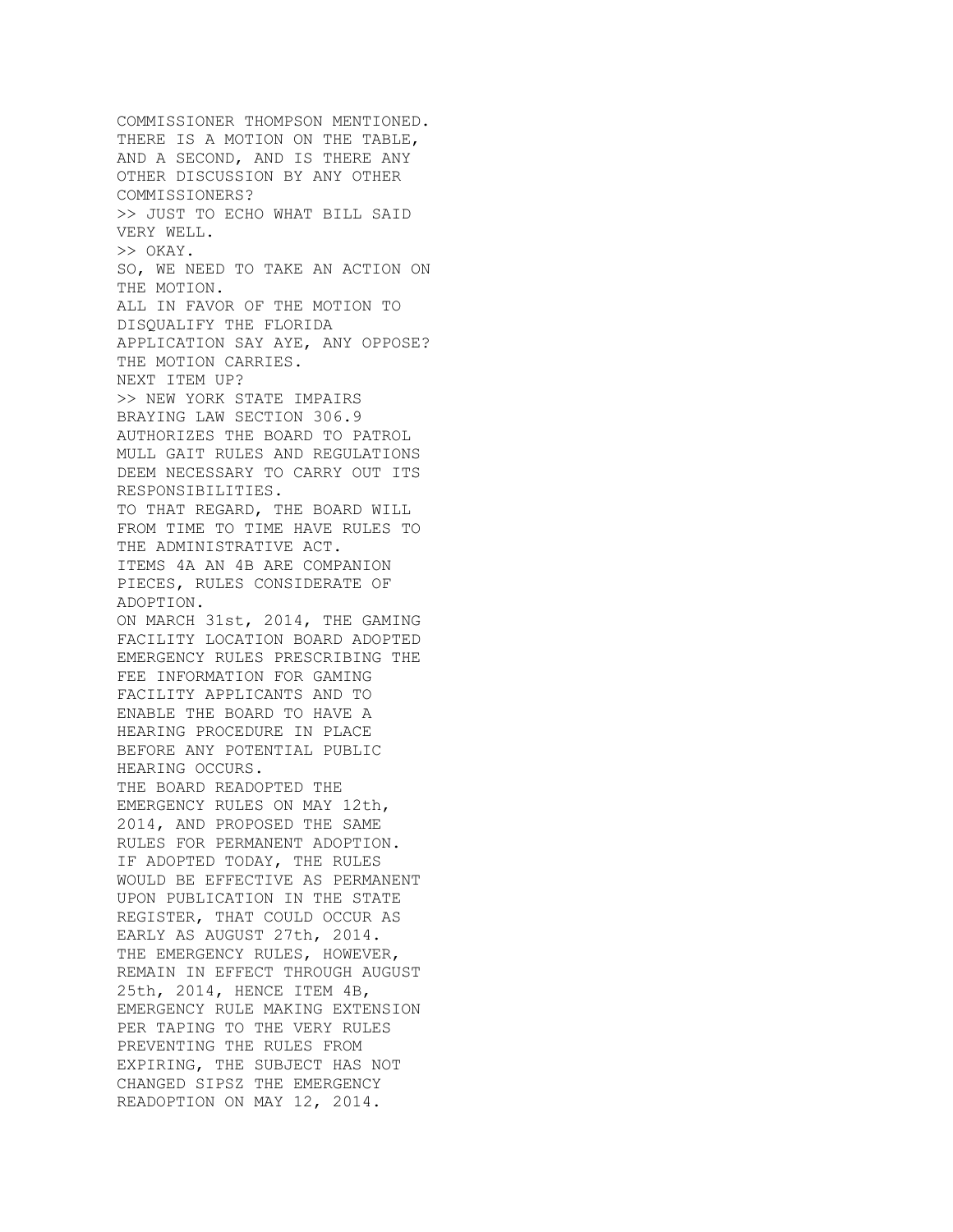COMMISSIONER THOMPSON MENTIONED. THERE IS A MOTION ON THE TABLE, AND A SECOND, AND IS THERE ANY OTHER DISCUSSION BY ANY OTHER COMMISSIONERS? >> JUST TO ECHO WHAT BILL SAID VERY WELL. >> OKAY. SO, WE NEED TO TAKE AN ACTION ON THE MOTION. ALL IN FAVOR OF THE MOTION TO DISQUALIFY THE FLORIDA APPLICATION SAY AYE, ANY OPPOSE? THE MOTION CARRIES. NEXT ITEM UP? >> NEW YORK STATE IMPAIRS BRAYING LAW SECTION 306.9 AUTHORIZES THE BOARD TO PATROL MULL GAIT RULES AND REGULATIONS DEEM NECESSARY TO CARRY OUT ITS RESPONSIBILITIES. TO THAT REGARD, THE BOARD WILL FROM TIME TO TIME HAVE RULES TO THE ADMINISTRATIVE ACT. ITEMS 4A AN 4B ARE COMPANION PIECES, RULES CONSIDERATE OF ADOPTION. ON MARCH 31st, 2014, THE GAMING FACILITY LOCATION BOARD ADOPTED EMERGENCY RULES PRESCRIBING THE FEE INFORMATION FOR GAMING FACILITY APPLICANTS AND TO ENABLE THE BOARD TO HAVE A HEARING PROCEDURE IN PLACE BEFORE ANY POTENTIAL PUBLIC HEARING OCCURS. THE BOARD READOPTED THE EMERGENCY RULES ON MAY 12th, 2014, AND PROPOSED THE SAME RULES FOR PERMANENT ADOPTION. IF ADOPTED TODAY, THE RULES WOULD BE EFFECTIVE AS PERMANENT UPON PUBLICATION IN THE STATE REGISTER, THAT COULD OCCUR AS EARLY AS AUGUST 27th, 2014. THE EMERGENCY RULES, HOWEVER, REMAIN IN EFFECT THROUGH AUGUST 25th, 2014, HENCE ITEM 4B, EMERGENCY RULE MAKING EXTENSION PER TAPING TO THE VERY RULES PREVENTING THE RULES FROM EXPIRING, THE SUBJECT HAS NOT CHANGED SIPSZ THE EMERGENCY READOPTION ON MAY 12, 2014.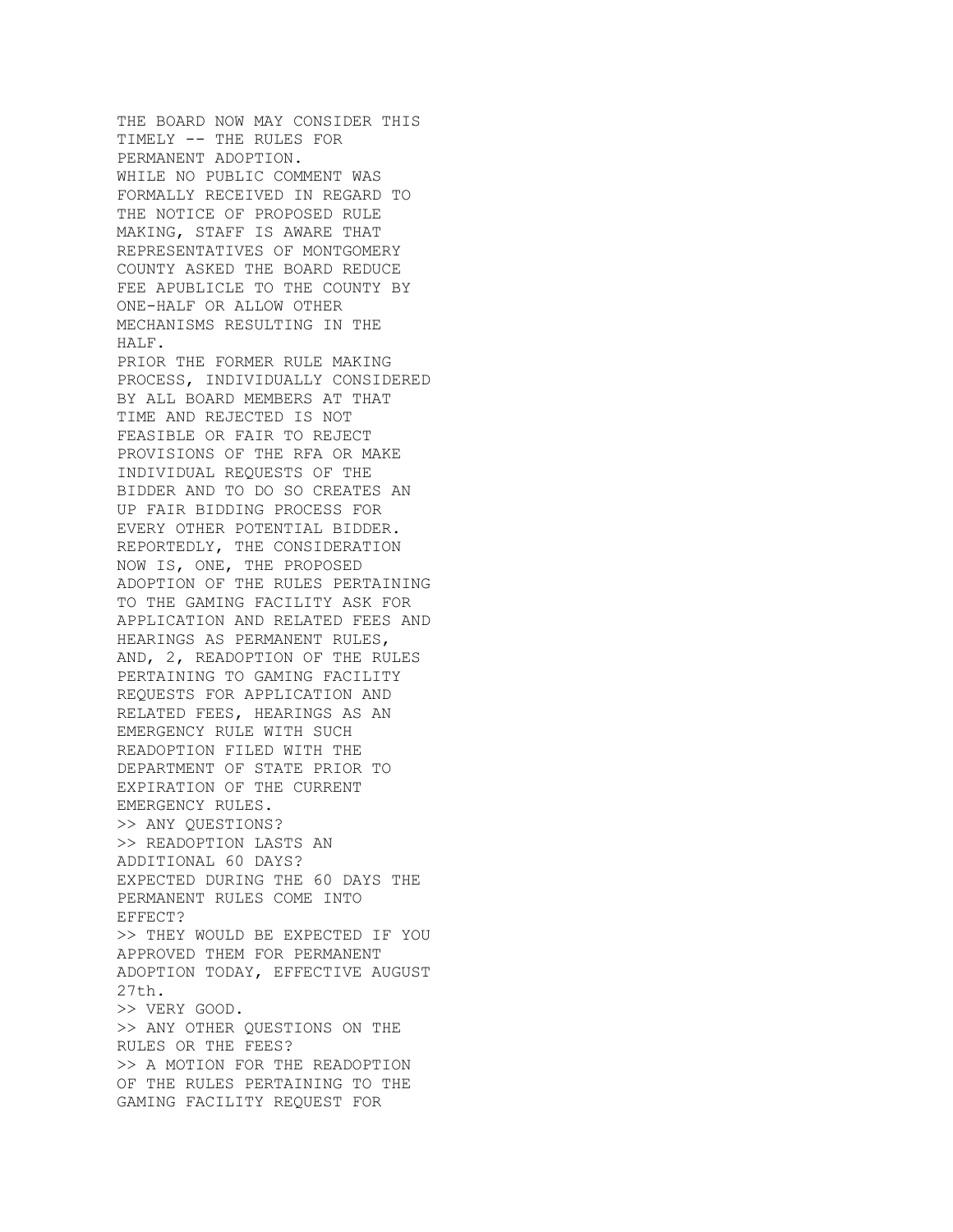THE BOARD NOW MAY CONSIDER THIS TIMELY -- THE RULES FOR PERMANENT ADOPTION. WHILE NO PUBLIC COMMENT WAS FORMALLY RECEIVED IN REGARD TO THE NOTICE OF PROPOSED RULE MAKING, STAFF IS AWARE THAT REPRESENTATIVES OF MONTGOMERY COUNTY ASKED THE BOARD REDUCE FEE APUBLICLE TO THE COUNTY BY ONE-HALF OR ALLOW OTHER MECHANISMS RESULTING IN THE HALF. PRIOR THE FORMER RULE MAKING PROCESS, INDIVIDUALLY CONSIDERED BY ALL BOARD MEMBERS AT THAT TIME AND REJECTED IS NOT FEASIBLE OR FAIR TO REJECT PROVISIONS OF THE RFA OR MAKE INDIVIDUAL REQUESTS OF THE BIDDER AND TO DO SO CREATES AN UP FAIR BIDDING PROCESS FOR EVERY OTHER POTENTIAL BIDDER. REPORTEDLY, THE CONSIDERATION NOW IS, ONE, THE PROPOSED ADOPTION OF THE RULES PERTAINING TO THE GAMING FACILITY ASK FOR APPLICATION AND RELATED FEES AND HEARINGS AS PERMANENT RULES, AND, 2, READOPTION OF THE RULES PERTAINING TO GAMING FACILITY REQUESTS FOR APPLICATION AND RELATED FEES, HEARINGS AS AN EMERGENCY RULE WITH SUCH READOPTION FILED WITH THE DEPARTMENT OF STATE PRIOR TO EXPIRATION OF THE CURRENT EMERGENCY RULES. >> ANY QUESTIONS? >> READOPTION LASTS AN ADDITIONAL 60 DAYS? EXPECTED DURING THE 60 DAYS THE PERMANENT RULES COME INTO EFFECT? >> THEY WOULD BE EXPECTED IF YOU APPROVED THEM FOR PERMANENT ADOPTION TODAY, EFFECTIVE AUGUST 27th. >> VERY GOOD. >> ANY OTHER QUESTIONS ON THE RULES OR THE FEES? >> A MOTION FOR THE READOPTION OF THE RULES PERTAINING TO THE GAMING FACILITY REQUEST FOR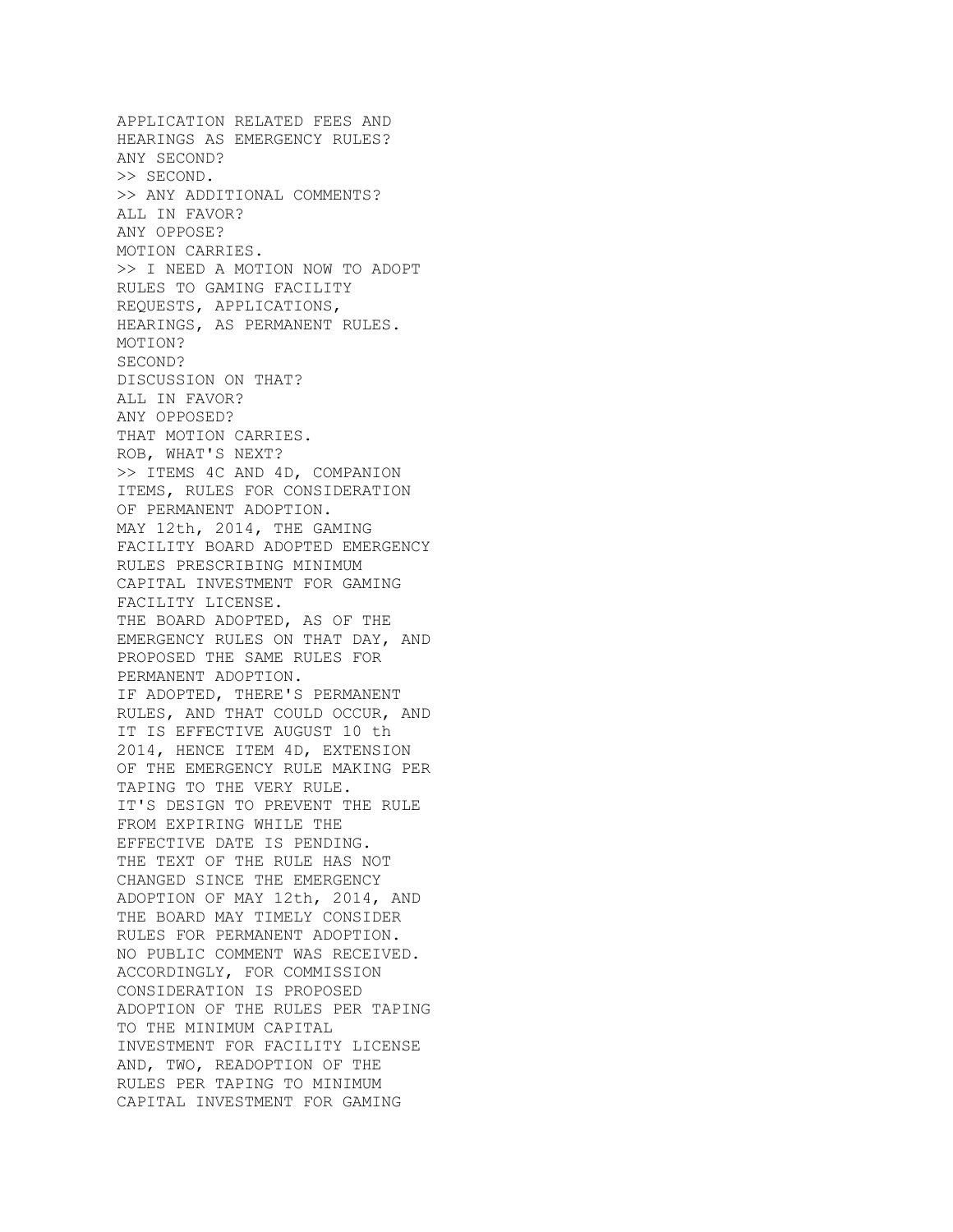APPLICATION RELATED FEES AND HEARINGS AS EMERGENCY RULES? ANY SECOND? >> SECOND. >> ANY ADDITIONAL COMMENTS? ALL IN FAVOR? ANY OPPOSE? MOTION CARRIES. >> I NEED A MOTION NOW TO ADOPT RULES TO GAMING FACILITY REQUESTS, APPLICATIONS, HEARINGS, AS PERMANENT RULES. MOTION? SECOND? DISCUSSION ON THAT? ALL IN FAVOR? ANY OPPOSED? THAT MOTION CARRIES. ROB, WHAT'S NEXT? >> ITEMS 4C AND 4D, COMPANION ITEMS, RULES FOR CONSIDERATION OF PERMANENT ADOPTION. MAY 12th, 2014, THE GAMING FACILITY BOARD ADOPTED EMERGENCY RULES PRESCRIBING MINIMUM CAPITAL INVESTMENT FOR GAMING FACILITY LICENSE. THE BOARD ADOPTED, AS OF THE EMERGENCY RULES ON THAT DAY, AND PROPOSED THE SAME RULES FOR PERMANENT ADOPTION. IF ADOPTED, THERE'S PERMANENT RULES, AND THAT COULD OCCUR, AND IT IS EFFECTIVE AUGUST 10 th 2014, HENCE ITEM 4D, EXTENSION OF THE EMERGENCY RULE MAKING PER TAPING TO THE VERY RULE. IT'S DESIGN TO PREVENT THE RULE FROM EXPIRING WHILE THE EFFECTIVE DATE IS PENDING. THE TEXT OF THE RULE HAS NOT CHANGED SINCE THE EMERGENCY ADOPTION OF MAY 12th, 2014, AND THE BOARD MAY TIMELY CONSIDER RULES FOR PERMANENT ADOPTION. NO PUBLIC COMMENT WAS RECEIVED. ACCORDINGLY, FOR COMMISSION CONSIDERATION IS PROPOSED ADOPTION OF THE RULES PER TAPING TO THE MINIMUM CAPITAL INVESTMENT FOR FACILITY LICENSE AND, TWO, READOPTION OF THE RULES PER TAPING TO MINIMUM CAPITAL INVESTMENT FOR GAMING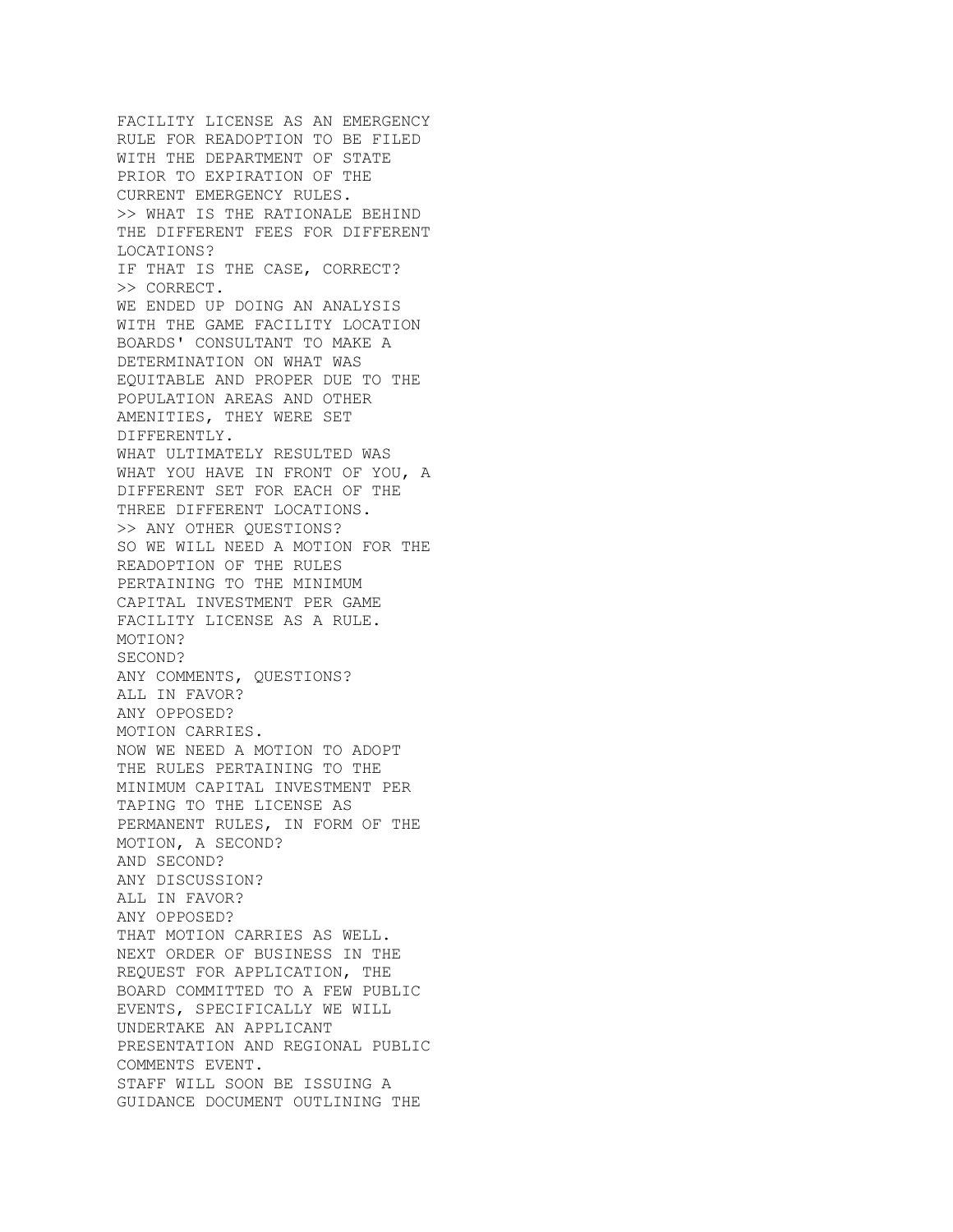FACILITY LICENSE AS AN EMERGENCY RULE FOR READOPTION TO BE FILED WITH THE DEPARTMENT OF STATE PRIOR TO EXPIRATION OF THE CURRENT EMERGENCY RULES. >> WHAT IS THE RATIONALE BEHIND THE DIFFERENT FEES FOR DIFFERENT LOCATIONS? IF THAT IS THE CASE, CORRECT? >> CORRECT. WE ENDED UP DOING AN ANALYSIS WITH THE GAME FACILITY LOCATION BOARDS' CONSULTANT TO MAKE A DETERMINATION ON WHAT WAS EQUITABLE AND PROPER DUE TO THE POPULATION AREAS AND OTHER AMENITIES, THEY WERE SET DIFFERENTLY. WHAT ULTIMATELY RESULTED WAS WHAT YOU HAVE IN FRONT OF YOU, A DIFFERENT SET FOR EACH OF THE THREE DIFFERENT LOCATIONS. >> ANY OTHER QUESTIONS? SO WE WILL NEED A MOTION FOR THE READOPTION OF THE RULES PERTAINING TO THE MINIMUM CAPITAL INVESTMENT PER GAME FACILITY LICENSE AS A RULE. MOTION? SECOND? ANY COMMENTS, QUESTIONS? ALL IN FAVOR? ANY OPPOSED? MOTION CARRIES. NOW WE NEED A MOTION TO ADOPT THE RULES PERTAINING TO THE MINIMUM CAPITAL INVESTMENT PER TAPING TO THE LICENSE AS PERMANENT RULES, IN FORM OF THE MOTION, A SECOND? AND SECOND? ANY DISCUSSION? ALL IN FAVOR? ANY OPPOSED? THAT MOTION CARRIES AS WELL. NEXT ORDER OF BUSINESS IN THE REQUEST FOR APPLICATION, THE BOARD COMMITTED TO A FEW PUBLIC EVENTS, SPECIFICALLY WE WILL UNDERTAKE AN APPLICANT PRESENTATION AND REGIONAL PUBLIC COMMENTS EVENT. STAFF WILL SOON BE ISSUING A GUIDANCE DOCUMENT OUTLINING THE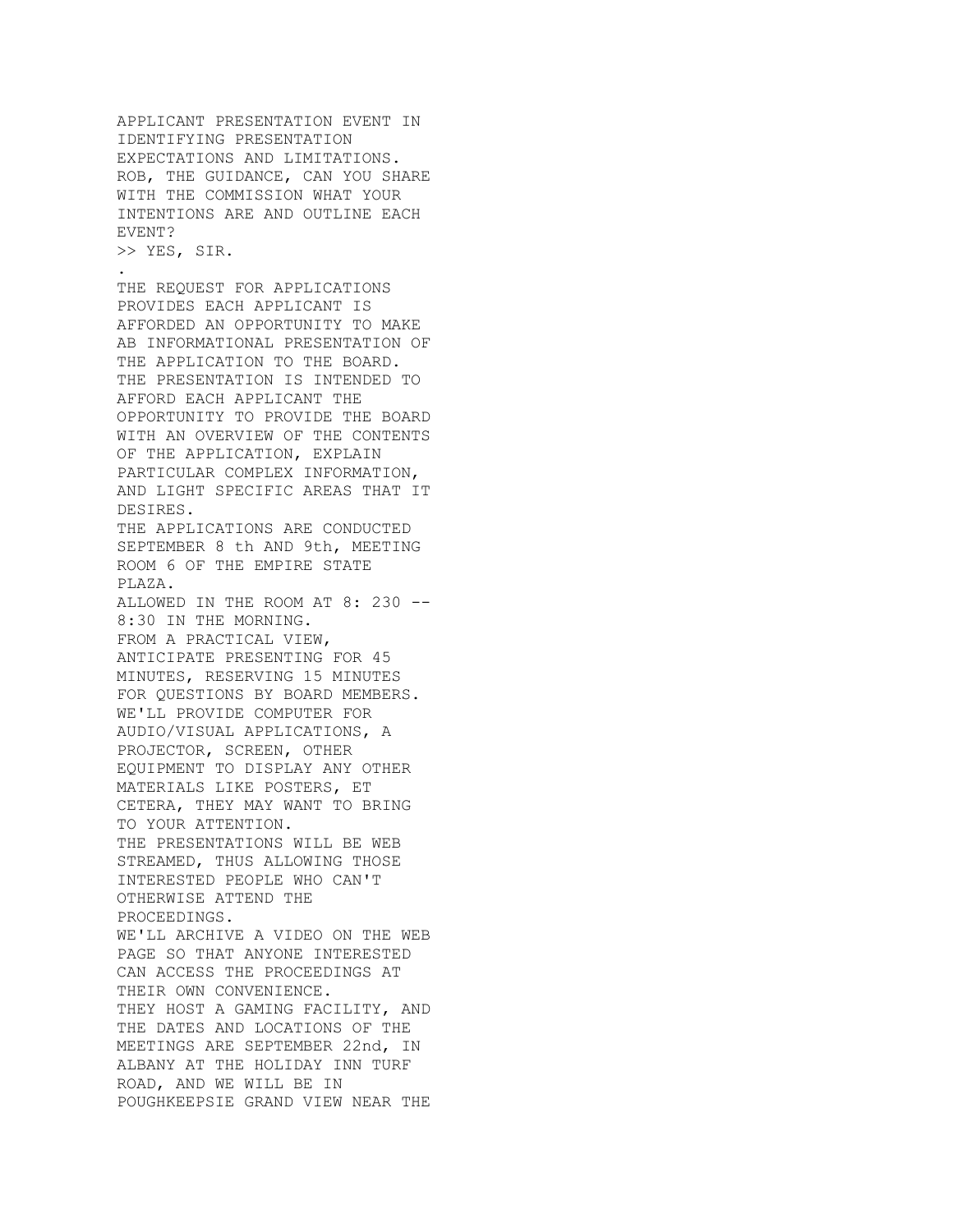APPLICANT PRESENTATION EVENT IN IDENTIFYING PRESENTATION EXPECTATIONS AND LIMITATIONS. ROB, THE GUIDANCE, CAN YOU SHARE WITH THE COMMISSION WHAT YOUR INTENTIONS ARE AND OUTLINE EACH EVENT?

>> YES, SIR. .

THE REQUEST FOR APPLICATIONS PROVIDES EACH APPLICANT IS AFFORDED AN OPPORTUNITY TO MAKE AB INFORMATIONAL PRESENTATION OF THE APPLICATION TO THE BOARD. THE PRESENTATION IS INTENDED TO AFFORD EACH APPLICANT THE OPPORTUNITY TO PROVIDE THE BOARD WITH AN OVERVIEW OF THE CONTENTS OF THE APPLICATION, EXPLAIN PARTICULAR COMPLEX INFORMATION, AND LIGHT SPECIFIC AREAS THAT IT DESIRES. THE APPLICATIONS ARE CONDUCTED SEPTEMBER 8 th AND 9th, MEETING ROOM 6 OF THE EMPIRE STATE PLAZA. ALLOWED IN THE ROOM AT 8: 230 -- 8:30 IN THE MORNING. FROM A PRACTICAL VIEW, ANTICIPATE PRESENTING FOR 45 MINUTES, RESERVING 15 MINUTES FOR QUESTIONS BY BOARD MEMBERS. WE'LL PROVIDE COMPUTER FOR AUDIO/VISUAL APPLICATIONS, A PROJECTOR, SCREEN, OTHER EQUIPMENT TO DISPLAY ANY OTHER MATERIALS LIKE POSTERS, ET CETERA, THEY MAY WANT TO BRING TO YOUR ATTENTION. THE PRESENTATIONS WILL BE WEB STREAMED, THUS ALLOWING THOSE INTERESTED PEOPLE WHO CAN'T OTHERWISE ATTEND THE PROCEEDINGS. WE'LL ARCHIVE A VIDEO ON THE WEB PAGE SO THAT ANYONE INTERESTED CAN ACCESS THE PROCEEDINGS AT THEIR OWN CONVENIENCE. THEY HOST A GAMING FACILITY, AND THE DATES AND LOCATIONS OF THE MEETINGS ARE SEPTEMBER 22nd, IN ALBANY AT THE HOLIDAY INN TURF ROAD, AND WE WILL BE IN POUGHKEEPSIE GRAND VIEW NEAR THE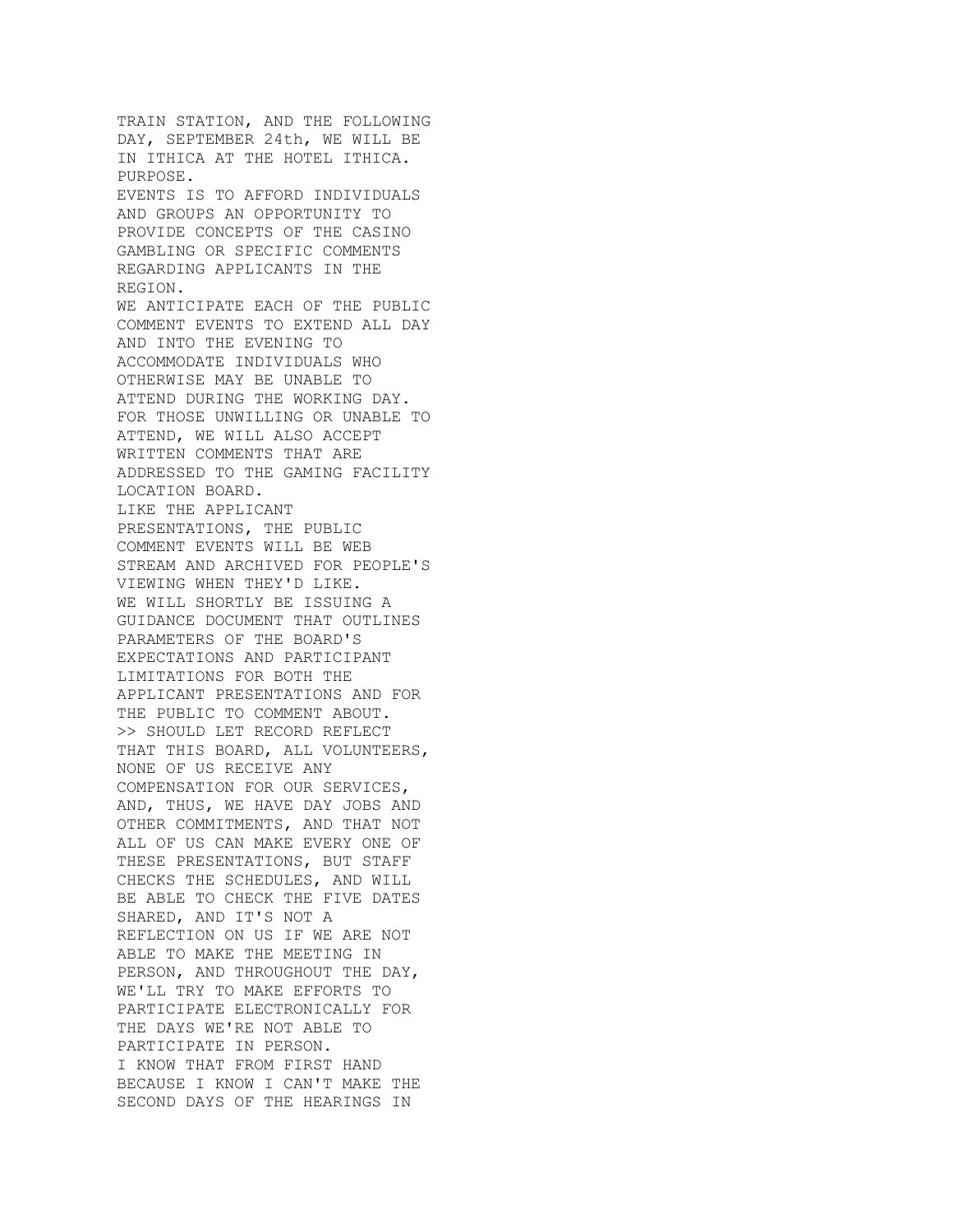TRAIN STATION, AND THE FOLLOWING DAY, SEPTEMBER 24th, WE WILL BE IN ITHICA AT THE HOTEL ITHICA. PURPOSE. EVENTS IS TO AFFORD INDIVIDUALS AND GROUPS AN OPPORTUNITY TO PROVIDE CONCEPTS OF THE CASINO GAMBLING OR SPECIFIC COMMENTS REGARDING APPLICANTS IN THE REGION. WE ANTICIPATE EACH OF THE PUBLIC COMMENT EVENTS TO EXTEND ALL DAY AND INTO THE EVENING TO ACCOMMODATE INDIVIDUALS WHO OTHERWISE MAY BE UNABLE TO ATTEND DURING THE WORKING DAY. FOR THOSE UNWILLING OR UNABLE TO ATTEND, WE WILL ALSO ACCEPT WRITTEN COMMENTS THAT ARE ADDRESSED TO THE GAMING FACILITY LOCATION BOARD. LIKE THE APPLICANT PRESENTATIONS, THE PUBLIC COMMENT EVENTS WILL BE WEB STREAM AND ARCHIVED FOR PEOPLE'S VIEWING WHEN THEY'D LIKE. WE WILL SHORTLY BE ISSUING A GUIDANCE DOCUMENT THAT OUTLINES PARAMETERS OF THE BOARD'S EXPECTATIONS AND PARTICIPANT LIMITATIONS FOR BOTH THE APPLICANT PRESENTATIONS AND FOR THE PUBLIC TO COMMENT ABOUT. >> SHOULD LET RECORD REFLECT THAT THIS BOARD, ALL VOLUNTEERS, NONE OF US RECEIVE ANY COMPENSATION FOR OUR SERVICES, AND, THUS, WE HAVE DAY JOBS AND OTHER COMMITMENTS, AND THAT NOT ALL OF US CAN MAKE EVERY ONE OF THESE PRESENTATIONS, BUT STAFF CHECKS THE SCHEDULES, AND WILL BE ABLE TO CHECK THE FIVE DATES SHARED, AND IT'S NOT A REFLECTION ON US IF WE ARE NOT ABLE TO MAKE THE MEETING IN PERSON, AND THROUGHOUT THE DAY, WE'LL TRY TO MAKE EFFORTS TO PARTICIPATE ELECTRONICALLY FOR THE DAYS WE'RE NOT ABLE TO PARTICIPATE IN PERSON. I KNOW THAT FROM FIRST HAND BECAUSE I KNOW I CAN'T MAKE THE SECOND DAYS OF THE HEARINGS IN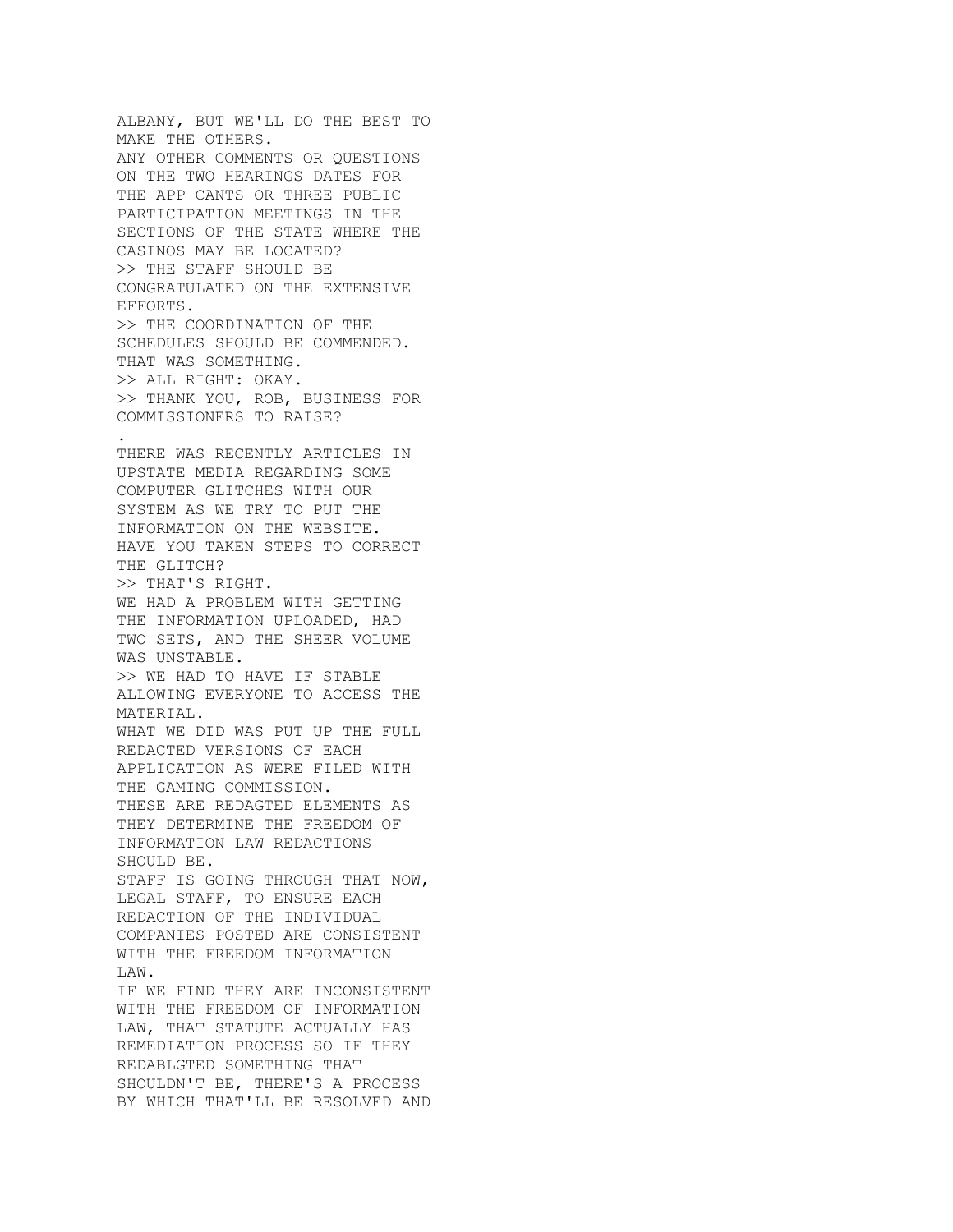ALBANY, BUT WE'LL DO THE BEST TO MAKE THE OTHERS. ANY OTHER COMMENTS OR QUESTIONS ON THE TWO HEARINGS DATES FOR THE APP CANTS OR THREE PUBLIC PARTICIPATION MEETINGS IN THE SECTIONS OF THE STATE WHERE THE CASINOS MAY BE LOCATED? >> THE STAFF SHOULD BE CONGRATULATED ON THE EXTENSIVE EFFORTS. >> THE COORDINATION OF THE SCHEDULES SHOULD BE COMMENDED. THAT WAS SOMETHING. >> ALL RIGHT: OKAY. >> THANK YOU, ROB, BUSINESS FOR COMMISSIONERS TO RAISE? . THERE WAS RECENTLY ARTICLES IN UPSTATE MEDIA REGARDING SOME COMPUTER GLITCHES WITH OUR SYSTEM AS WE TRY TO PUT THE INFORMATION ON THE WEBSITE. HAVE YOU TAKEN STEPS TO CORRECT THE GLITCH? >> THAT'S RIGHT. WE HAD A PROBLEM WITH GETTING THE INFORMATION UPLOADED, HAD TWO SETS, AND THE SHEER VOLUME WAS UNSTABLE. >> WE HAD TO HAVE IF STABLE ALLOWING EVERYONE TO ACCESS THE MATERIAL. WHAT WE DID WAS PUT UP THE FULL REDACTED VERSIONS OF EACH APPLICATION AS WERE FILED WITH THE GAMING COMMISSION. THESE ARE REDAGTED ELEMENTS AS THEY DETERMINE THE FREEDOM OF INFORMATION LAW REDACTIONS SHOULD BE. STAFF IS GOING THROUGH THAT NOW, LEGAL STAFF, TO ENSURE EACH REDACTION OF THE INDIVIDUAL COMPANIES POSTED ARE CONSISTENT WITH THE FREEDOM INFORMATION LAW. IF WE FIND THEY ARE INCONSISTENT WITH THE FREEDOM OF INFORMATION LAW, THAT STATUTE ACTUALLY HAS REMEDIATION PROCESS SO IF THEY REDABLGTED SOMETHING THAT SHOULDN'T BE, THERE'S A PROCESS BY WHICH THAT'LL BE RESOLVED AND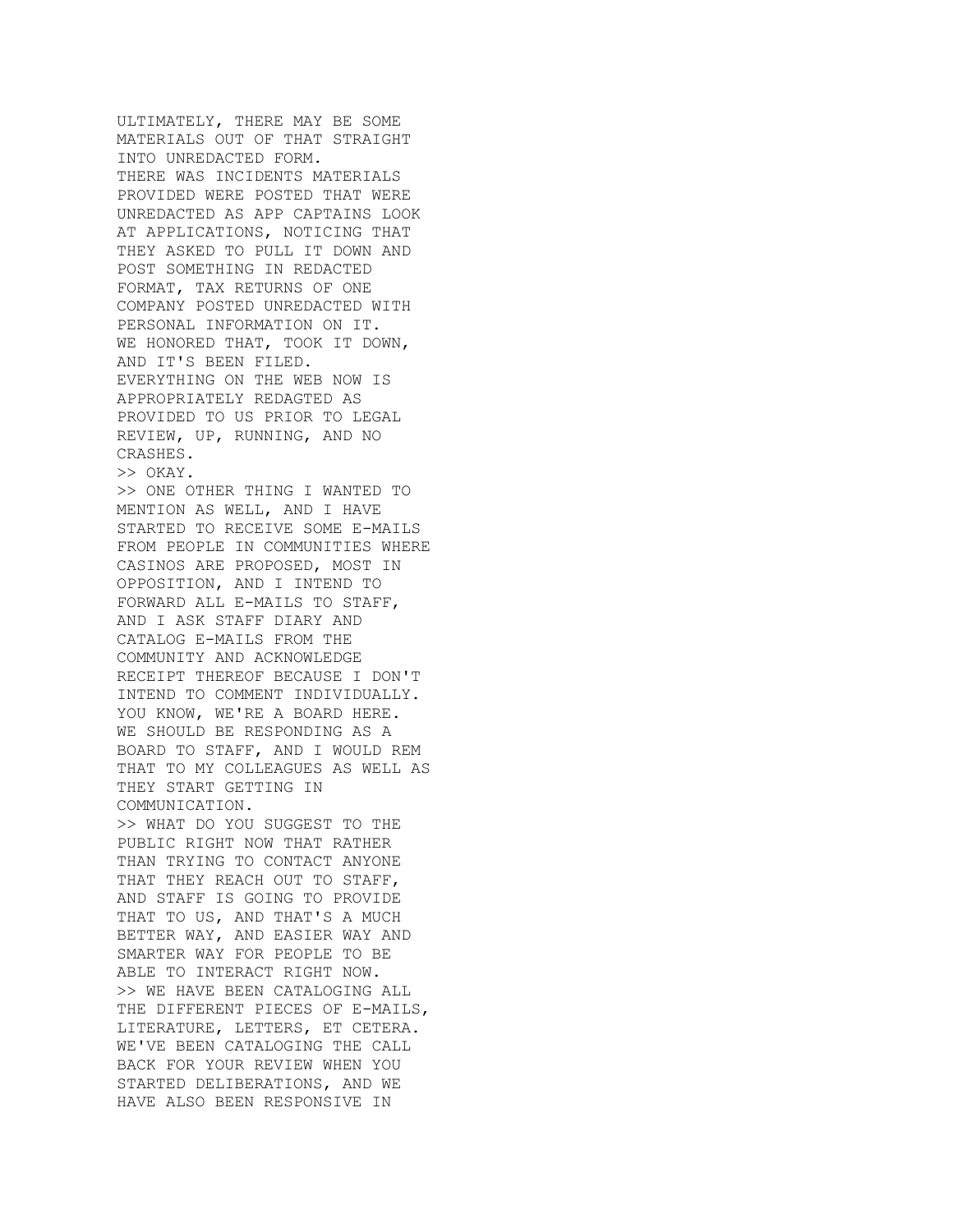ULTIMATELY, THERE MAY BE SOME MATERIALS OUT OF THAT STRAIGHT INTO UNREDACTED FORM. THERE WAS INCIDENTS MATERIALS PROVIDED WERE POSTED THAT WERE UNREDACTED AS APP CAPTAINS LOOK AT APPLICATIONS, NOTICING THAT THEY ASKED TO PULL IT DOWN AND POST SOMETHING IN REDACTED FORMAT, TAX RETURNS OF ONE COMPANY POSTED UNREDACTED WITH PERSONAL INFORMATION ON IT. WE HONORED THAT, TOOK IT DOWN, AND IT'S BEEN FILED. EVERYTHING ON THE WEB NOW IS APPROPRIATELY REDAGTED AS PROVIDED TO US PRIOR TO LEGAL REVIEW, UP, RUNNING, AND NO CRASHES. >> OKAY. >> ONE OTHER THING I WANTED TO MENTION AS WELL, AND I HAVE STARTED TO RECEIVE SOME E-MAILS FROM PEOPLE IN COMMUNITIES WHERE CASINOS ARE PROPOSED, MOST IN OPPOSITION, AND I INTEND TO FORWARD ALL E-MAILS TO STAFF, AND I ASK STAFF DIARY AND CATALOG E-MAILS FROM THE COMMUNITY AND ACKNOWLEDGE RECEIPT THEREOF BECAUSE I DON'T INTEND TO COMMENT INDIVIDUALLY. YOU KNOW, WE'RE A BOARD HERE. WE SHOULD BE RESPONDING AS A BOARD TO STAFF, AND I WOULD REM THAT TO MY COLLEAGUES AS WELL AS THEY START GETTING IN COMMUNICATION. >> WHAT DO YOU SUGGEST TO THE PUBLIC RIGHT NOW THAT RATHER THAN TRYING TO CONTACT ANYONE THAT THEY REACH OUT TO STAFF, AND STAFF IS GOING TO PROVIDE THAT TO US, AND THAT'S A MUCH BETTER WAY, AND EASIER WAY AND SMARTER WAY FOR PEOPLE TO BE ABLE TO INTERACT RIGHT NOW. >> WE HAVE BEEN CATALOGING ALL THE DIFFERENT PIECES OF E-MAILS, LITERATURE, LETTERS, ET CETERA. WE'VE BEEN CATALOGING THE CALL BACK FOR YOUR REVIEW WHEN YOU STARTED DELIBERATIONS, AND WE HAVE ALSO BEEN RESPONSIVE IN